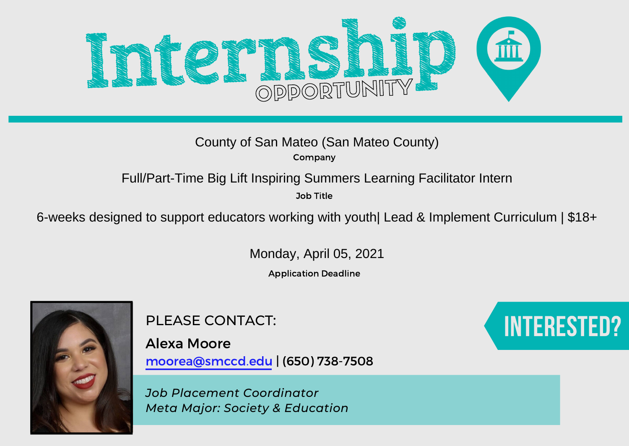

Company

Job Title

County of San Mateo (San Mateo County)<br>
Company<br>
Full/Part-Time Big Lift Inspiring Summers Learning Facilitator Intern<br>
<sup>306 Title</sup><br>
6-weeks designed to support educators working with youth| Lead & Implement Curriculum | \$

Monday, April 05, 2021

Application Deadline



PLEASE CONTACT:

Alexa Moore moorea@smccd.edu | (650) 738-7508

*Job Placement Coordinator Meta Major: Society & Education*

## Interested?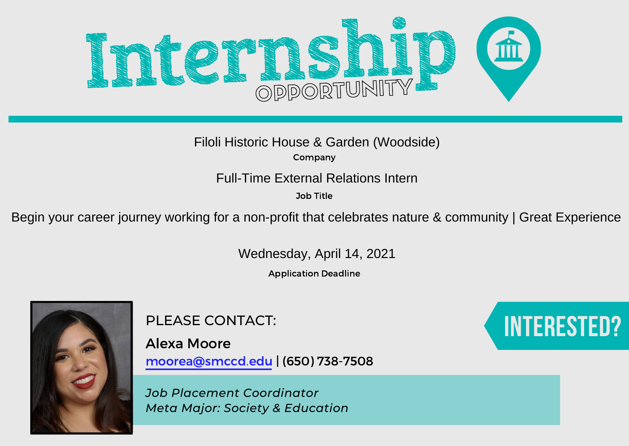

Filoli Historic House & Garden (Woodside)

Company

Job Title

Full-Time External Relations Intern<br><sup>Job Title</sup><br>Begin your career journey working for a non-profit that celebrates nature & community | Great Experience

Wednesday, April 14, 2021

Application Deadline



PLEASE CONTACT:

Alexa Moore moorea@smccd.edu | (650) 738-7508

*Job Placement Coordinator Meta Major: Society & Education*

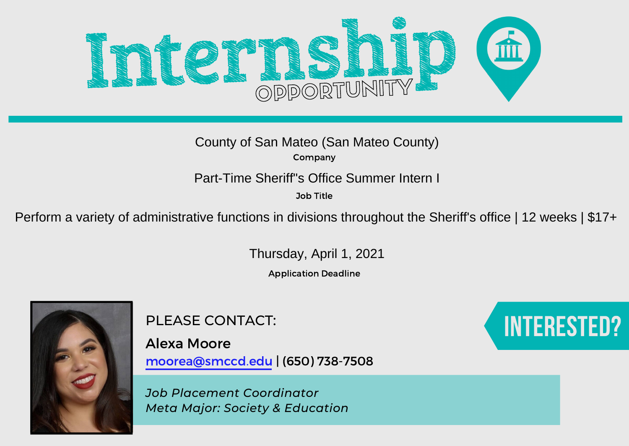

Company

Job Title

County of San Mateo (San Mateo County)<br>
Company<br>
Part-Time Sheriff's Office Summer Intern I<br>
Job Title<br>
Perform a variety of administrative functions in divisions throughout the Sheriff's office | 12 weeks | \$17+

Thursday, April 1, 2021

Application Deadline



PLEASE CONTACT:

Alexa Moore moorea@smccd.edu | (650) 738-7508

*Job Placement Coordinator Meta Major: Society & Education*